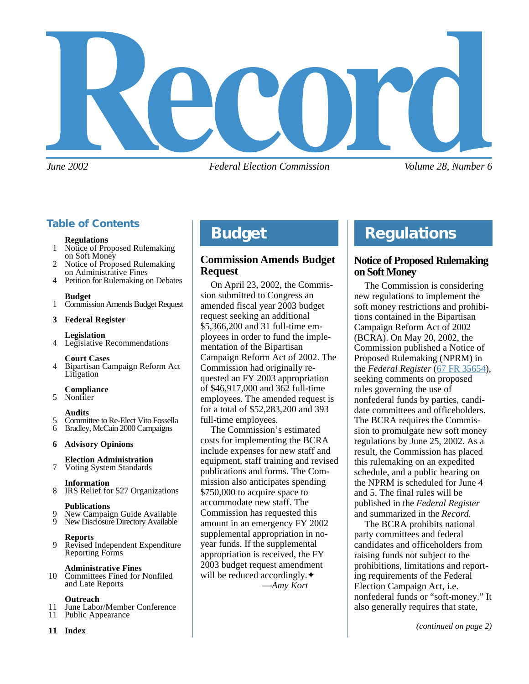

*June 2002 Federal Election Commission Volume 28, Number 6*

# **Table of Contents**

#### **Regulations**

- 1 Notice of Proposed Rulemaking on Soft Money
- 2 Notice of Proposed Rulemaking on Administrative Fines
- 4 Petition for Rulemaking on Debates

#### **Budget**

1 Commission Amends Budget Request

#### **3 Federal Register**

#### **Legislation**

4 Legislative Recommendations

#### **Court Cases**

4 Bipartisan Campaign Reform Act Litigation

#### **Compliance**

5 Nonfiler

#### **Audits**

- 5 Committee to Re-Elect Vito Fossella<br>6 Bradley, McCain 2000 Campaigns
- 6 Bradley, McCain 2000 Campaigns

#### **6 Advisory Opinions**

#### **Election Administration** 7 Voting System Standards

- **Information**
- 8 IRS Relief for 527 Organizations

#### **Publications**

- 9 New Campaign Guide Available<br>9 New Disclosure Directory Available
- New Disclosure Directory Available

#### **Reports**

9 Revised Independent Expenditure Reporting Forms

#### **Administrative Fines**

10 Committees Fined for Nonfiled and Late Reports

#### **Outreach**

- 11 June Labor/Member Conference<br>11 Public Appearance
- Public Appearance
- **11 Index**

# **Budget**

# **Commission Amends Budget Request**

On April 23, 2002, the Commission submitted to Congress an amended fiscal year 2003 budget request seeking an additional \$5,366,200 and 31 full-time employees in order to fund the implementation of the Bipartisan Campaign Reform Act of 2002. The Commission had originally requested an FY 2003 appropriation of \$46,917,000 and 362 full-time employees. The amended request is for a total of \$52,283,200 and 393 full-time employees.

The Commission's estimated costs for implementing the BCRA include expenses for new staff and equipment, staff training and revised publications and forms. The Commission also anticipates spending \$750,000 to acquire space to accommodate new staff. The Commission has requested this amount in an emergency FY 2002 supplemental appropriation in noyear funds. If the supplemental appropriation is received, the FY 2003 budget request amendment will be reduced accordingly. **◆** —*Amy Kort*

# **Regulations**

# **Notice of Proposed Rulemaking on Soft Money**

The Commission is considering new regulations to implement the soft money restrictions and prohibitions contained in the Bipartisan Campaign Reform Act of 2002 (BCRA). On May 20, 2002, the Commission published a Notice of Proposed Rulemaking (NPRM) in the *Federal Register* ([67 FR 35654](http://www.fec.gov/pdf/soft_money_nprm/fr67n97p35653.pdf)), seeking comments on proposed rules governing the use of nonfederal funds by parties, candidate committees and officeholders. The BCRA requires the Commission to promulgate new soft money regulations by June 25, 2002. As a result, the Commission has placed this rulemaking on an expedited schedule, and a public hearing on the NPRM is scheduled for June 4 and 5. The final rules will be published in the *Federal Register* and summarized in the *Record*.

The BCRA prohibits national party committees and federal candidates and officeholders from raising funds not subject to the prohibitions, limitations and reporting requirements of the Federal Election Campaign Act, i.e. nonfederal funds or "soft-money." It also generally requires that state,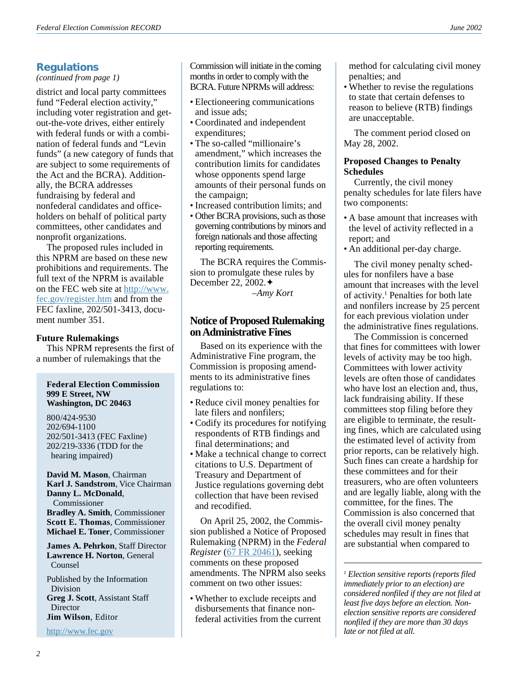# **Regulations**

#### *(continued from page 1)*

district and local party committees fund "Federal election activity," including voter registration and getout-the-vote drives, either entirely with federal funds or with a combination of federal funds and "Levin funds" (a new category of funds that are subject to some requirements of the Act and the BCRA). Additionally, the BCRA addresses fundraising by federal and nonfederal candidates and officeholders on behalf of political party committees, other candidates and nonprofit organizations.

The proposed rules included in this NPRM are based on these new prohibitions and requirements. The full text of the NPRM is available on the FEC web site at [http://www.](http://www. fec.gov/register.htm) [fec.gov/register.htm](http://www. fec.gov/register.htm) and from the FEC faxline, 202/501-3413, document number 351.

#### **Future Rulemakings**

This NPRM represents the first of a number of rulemakings that the

#### **Federal Election Commission 999 E Street, NW Washington, DC 20463**

800/424-9530 202/694-1100 202/501-3413 (FEC Faxline) 202/219-3336 (TDD for the hearing impaired)

**David M. Mason**, Chairman **Karl J. Sandstrom**, Vice Chairman **Danny L. McDonald**, Commissioner **Bradley A. Smith**, Commissioner **Scott E. Thomas**, Commissioner **Michael E. Toner**, Commissioner

**James A. Pehrkon**, Staff Director **Lawrence H. Norton**, General Counsel

Published by the Information Division **Greg J. Scott**, Assistant Staff **Director Jim Wilson**, Editor

<http://www.fec.gov>

Commission will initiate in the coming months in order to comply with the BCRA. Future NPRMs will address:

- Electioneering communications and issue ads;
- Coordinated and independent expenditures;
- The so-called "millionaire's amendment," which increases the contribution limits for candidates whose opponents spend large amounts of their personal funds on the campaign;
- Increased contribution limits; and
- Other BCRA provisions, such as those governing contributions by minors and foreign nationals and those affecting reporting requirements.

The BCRA requires the Commission to promulgate these rules by December 22, 2002.✦

*–Amy Kort*

### **Notice of Proposed Rulemaking on Administrative Fines**

Based on its experience with the Administrative Fine program, the Commission is proposing amendments to its administrative fines regulations to:

- Reduce civil money penalties for late filers and nonfilers;
- Codify its procedures for notifying respondents of RTB findings and final determinations; and
- Make a technical change to correct citations to U.S. Department of Treasury and Department of Justice regulations governing debt collection that have been revised and recodified.

On April 25, 2002, the Commission published a Notice of Proposed Rulemaking (NPRM) in the *Federal Register* ([67 FR 20461](http://www.fec.gov/pdf/fr67n80p20461.pdf)), seeking comments on these proposed amendments. The NPRM also seeks comment on two other issues:

• Whether to exclude receipts and disbursements that finance nonfederal activities from the current method for calculating civil money penalties; and

• Whether to revise the regulations to state that certain defenses to reason to believe (RTB) findings are unacceptable.

The comment period closed on May 28, 2002.

#### **Proposed Changes to Penalty Schedules**

Currently, the civil money penalty schedules for late filers have two components:

- A base amount that increases with the level of activity reflected in a report; and
- An additional per-day charge.

The civil money penalty schedules for nonfilers have a base amount that increases with the level of activity.<sup>1</sup> Penalties for both late and nonfilers increase by 25 percent for each previous violation under the administrative fines regulations.

The Commission is concerned that fines for committees with lower levels of activity may be too high. Committees with lower activity levels are often those of candidates who have lost an election and, thus, lack fundraising ability. If these committees stop filing before they are eligible to terminate, the resulting fines, which are calculated using the estimated level of activity from prior reports, can be relatively high. Such fines can create a hardship for these committees and for their treasurers, who are often volunteers and are legally liable, along with the committee, for the fines. The Commission is also concerned that the overall civil money penalty schedules may result in fines that are substantial when compared to

*<sup>1</sup> Election sensitive reports (reports filed immediately prior to an election) are considered nonfiled if they are not filed at least five days before an election. Nonelection sensitive reports are considered nonfiled if they are more than 30 days late or not filed at all.*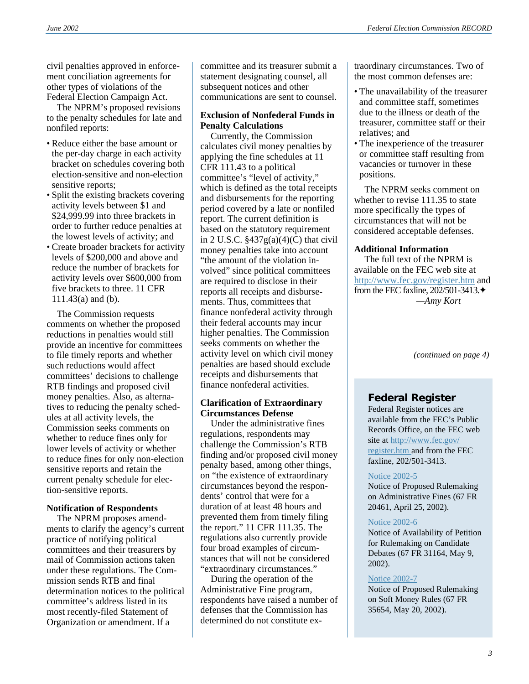civil penalties approved in enforcement conciliation agreements for other types of violations of the Federal Election Campaign Act.

The NPRM's proposed revisions to the penalty schedules for late and nonfiled reports:

- Reduce either the base amount or the per-day charge in each activity bracket on schedules covering both election-sensitive and non-election sensitive reports;
- Split the existing brackets covering activity levels between \$1 and \$24,999.99 into three brackets in order to further reduce penalties at the lowest levels of activity; and
- Create broader brackets for activity levels of \$200,000 and above and reduce the number of brackets for activity levels over \$600,000 from five brackets to three. 11 CFR 111.43(a) and (b).

The Commission requests comments on whether the proposed reductions in penalties would still provide an incentive for committees to file timely reports and whether such reductions would affect committees' decisions to challenge RTB findings and proposed civil money penalties. Also, as alternatives to reducing the penalty schedules at all activity levels, the Commission seeks comments on whether to reduce fines only for lower levels of activity or whether to reduce fines for only non-election sensitive reports and retain the current penalty schedule for election-sensitive reports.

# **Notification of Respondents**

The NPRM proposes amendments to clarify the agency's current practice of notifying political committees and their treasurers by mail of Commission actions taken under these regulations. The Commission sends RTB and final determination notices to the political committee's address listed in its most recently-filed Statement of Organization or amendment. If a

committee and its treasurer submit a statement designating counsel, all subsequent notices and other communications are sent to counsel.

### **Exclusion of Nonfederal Funds in Penalty Calculations**

Currently, the Commission calculates civil money penalties by applying the fine schedules at 11 CFR 111.43 to a political committee's "level of activity," which is defined as the total receipts and disbursements for the reporting period covered by a late or nonfiled report. The current definition is based on the statutory requirement in 2 U.S.C.  $\frac{2437g(a)(4)(C)}{h(a)}$  that civil money penalties take into account "the amount of the violation involved" since political committees are required to disclose in their reports all receipts and disbursements. Thus, committees that finance nonfederal activity through their federal accounts may incur higher penalties. The Commission seeks comments on whether the activity level on which civil money penalties are based should exclude receipts and disbursements that finance nonfederal activities.

#### **Clarification of Extraordinary Circumstances Defense**

Under the administrative fines regulations, respondents may challenge the Commission's RTB finding and/or proposed civil money penalty based, among other things, on "the existence of extraordinary circumstances beyond the respondents' control that were for a duration of at least 48 hours and prevented them from timely filing the report." 11 CFR 111.35. The regulations also currently provide four broad examples of circumstances that will not be considered "extraordinary circumstances."

During the operation of the Administrative Fine program, respondents have raised a number of defenses that the Commission has determined do not constitute extraordinary circumstances. Two of the most common defenses are:

- The unavailability of the treasurer and committee staff, sometimes due to the illness or death of the treasurer, committee staff or their relatives; and
- The inexperience of the treasurer or committee staff resulting from vacancies or turnover in these positions.

The NPRM seeks comment on whether to revise 111.35 to state more specifically the types of circumstances that will not be considered acceptable defenses.

#### **Additional Information**

The full text of the NPRM is available on the FEC web site at [http://www.fec.gov/register.htm](http://www. fec.gov/register.htm) and from the FEC faxline, 202/501-3413.✦ *—Amy Kort*

*(continued on page 4)*

# **Federal Register**

Federal Register notices are available from the FEC's Public Records Office, on the FEC web site at [http://www.fec.gov/](http://www. fec.gov/register.htm) [register.htm](http://www. fec.gov/register.htm) and from the FEC faxline, 202/501-3413.

#### [Notice 2002-5](http://www.fec.gov/pdf/fr67n80p20461.pdf)

Notice of Proposed Rulemaking on Administrative Fines (67 FR 20461, April 25, 2002).

#### [Notice 2002-6](http://www.fec.gov/pdf/cand_debates/fr67n90p31164.pdf)

Notice of Availability of Petition for Rulemaking on Candidate Debates (67 FR 31164, May 9, 2002).

#### [Notice 2002-7](http://www.fec.gov/pdf/soft_money_nprm/fr67n97p35653.pdf)

Notice of Proposed Rulemaking on Soft Money Rules (67 FR 35654, May 20, 2002).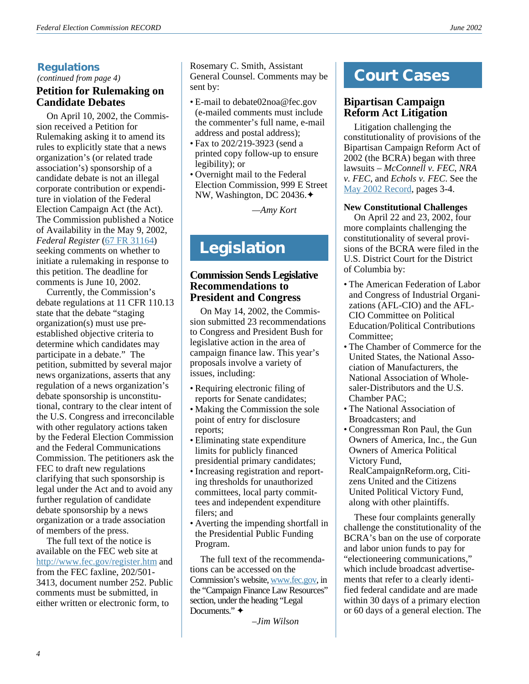*(continued from page 4)*

# **Petition for Rulemaking on Candidate Debates**

On April 10, 2002, the Commission received a Petition for Rulemaking asking it to amend its rules to explicitly state that a news organization's (or related trade association's) sponsorship of a candidate debate is not an illegal corporate contribution or expenditure in violation of the Federal Election Campaign Act (the Act). The Commission published a Notice of Availability in the May 9, 2002, *Federal Register* ([67 FR 31164](http://www.fec.gov/pdf/cand_debates/fr67n90p31164.pdf)) seeking comments on whether to initiate a rulemaking in response to this petition. The deadline for comments is June 10, 2002.

Currently, the Commission's debate regulations at 11 CFR 110.13 state that the debate "staging organization(s) must use preestablished objective criteria to determine which candidates may participate in a debate." The petition, submitted by several major news organizations, asserts that any regulation of a news organization's debate sponsorship is unconstitutional, contrary to the clear intent of the U.S. Congress and irreconcilable with other regulatory actions taken by the Federal Election Commission and the Federal Communications Commission. The petitioners ask the FEC to draft new regulations clarifying that such sponsorship is legal under the Act and to avoid any further regulation of candidate debate sponsorship by a news organization or a trade association of members of the press.

The full text of the notice is available on the FEC web site at [http://www.fec.gov/register.htm](http://www. fec.gov/register.htm) and from the FEC faxline, 202/501- 3413, document number 252. Public comments must be submitted, in either written or electronic form, to

**Regulations**<br>
(*continued from page 4*) **COUT CASES COUT CASES** Rosemary C. Smith, Assistant sent by:

- E-mail to debate02noa@fec.gov (e-mailed comments must include the commenter's full name, e-mail address and postal address);
- Fax to 202/219-3923 (send a printed copy follow-up to ensure legibility); or
- Overnight mail to the Federal Election Commission, 999 E Street NW, Washington, DC 20436.✦

*—Amy Kort*

# **Legislation**

# **Commission Sends Legislative Recommendations to President and Congress**

On May 14, 2002, the Commission submitted 23 recommendations to Congress and President Bush for legislative action in the area of campaign finance law. This year's proposals involve a variety of issues, including:

- Requiring electronic filing of reports for Senate candidates;
- Making the Commission the sole point of entry for disclosure reports;
- Eliminating state expenditure limits for publicly financed presidential primary candidates;
- Increasing registration and reporting thresholds for unauthorized committees, local party committees and independent expenditure filers; and
- Averting the impending shortfall in the Presidential Public Funding Program.

The full text of the recommendations can be accessed on the Commission's website, [www.fec.gov](http://www.fec.gov), in the "Campaign Finance Law Resources" section, under the heading "Legal Documents." ✦

*–Jim Wilson*

# **Bipartisan Campaign Reform Act Litigation**

Litigation challenging the constitutionality of provisions of the Bipartisan Campaign Reform Act of 2002 (the BCRA) began with three lawsuits – *McConnell v. FEC*, *NRA v. FEC*, and *Echols v. FEC*. See the [May 2002 Record](http://www.fec.gov/pdf/may02.pdf), pages 3-4.

### **New Constitutional Challenges**

On April 22 and 23, 2002, four more complaints challenging the constitutionality of several provisions of the BCRA were filed in the U.S. District Court for the District of Columbia by:

- The American Federation of Labor and Congress of Industrial Organizations (AFL-CIO) and the AFL-CIO Committee on Political Education/Political Contributions Committee;
- The Chamber of Commerce for the United States, the National Association of Manufacturers, the National Association of Wholesaler-Distributors and the U.S. Chamber PAC;
- The National Association of Broadcasters; and
- Congressman Ron Paul, the Gun Owners of America, Inc., the Gun Owners of America Political Victory Fund, RealCampaignReform.org, Citizens United and the Citizens United Political Victory Fund, along with other plaintiffs.

These four complaints generally challenge the constitutionality of the BCRA's ban on the use of corporate and labor union funds to pay for "electioneering communications," which include broadcast advertisements that refer to a clearly identified federal candidate and are made within 30 days of a primary election or 60 days of a general election. The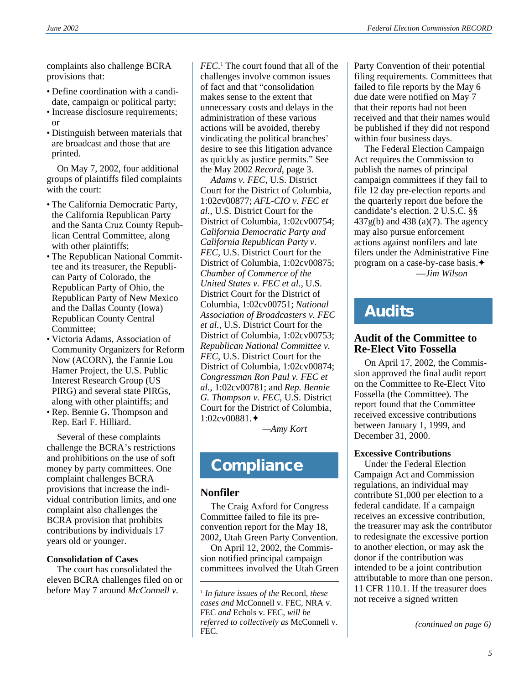complaints also challenge BCRA provisions that:

- Define coordination with a candidate, campaign or political party;
- Increase disclosure requirements; or
- Distinguish between materials that are broadcast and those that are printed.

On May 7, 2002, four additional groups of plaintiffs filed complaints with the court:

- The California Democratic Party, the California Republican Party and the Santa Cruz County Republican Central Committee, along with other plaintiffs;
- The Republican National Committee and its treasurer, the Republican Party of Colorado, the Republican Party of Ohio, the Republican Party of New Mexico and the Dallas County (Iowa) Republican County Central Committee;
- Victoria Adams, Association of Community Organizers for Reform Now (ACORN), the Fannie Lou Hamer Project, the U.S. Public Interest Research Group (US PIRG) and several state PIRGs, along with other plaintiffs; and
- Rep. Bennie G. Thompson and Rep. Earl F. Hilliard.

Several of these complaints challenge the BCRA's restrictions and prohibitions on the use of soft money by party committees. One complaint challenges BCRA provisions that increase the individual contribution limits, and one complaint also challenges the BCRA provision that prohibits contributions by individuals 17 years old or younger.

#### **Consolidation of Cases**

The court has consolidated the eleven BCRA challenges filed on or before May 7 around *McConnell v.*

*FEC*. 1 The court found that all of the challenges involve common issues of fact and that "consolidation makes sense to the extent that unnecessary costs and delays in the administration of these various actions will be avoided, thereby vindicating the political branches' desire to see this litigation advance as quickly as justice permits." See the May 2002 *Record*, page 3.

*Adams v. FEC,* U.S. District Court for the District of Columbia, 1:02cv00877; *AFL-CIO v. FEC et al.*, U.S. District Court for the District of Columbia, 1:02cv00754; *California Democratic Party and California Republican Party v. FEC,* U.S. District Court for the District of Columbia, 1:02cv00875; *Chamber of Commerce of the United States v. FEC et al.,* U.S. District Court for the District of Columbia, 1:02cv00751; *National Association of Broadcasters v. FEC et al.,* U.S. District Court for the District of Columbia, 1:02cv00753; *Republican National Committee v. FEC*, U.S. District Court for the District of Columbia, 1:02cv00874; *Congressman Ron Paul v. FEC et al.*, 1:02cv00781; and *Rep. Bennie G. Thompson v. FEC*, U.S. District Court for the District of Columbia, 1:02cv00881.✦

*—Amy Kort*

# **Compliance**

# **Nonfiler**

The Craig Axford for Congress Committee failed to file its preconvention report for the May 18, 2002, Utah Green Party Convention.

On April 12, 2002, the Commission notified principal campaign committees involved the Utah Green

Party Convention of their potential filing requirements. Committees that failed to file reports by the May 6 due date were notified on May 7 that their reports had not been received and that their names would be published if they did not respond within four business days.

The Federal Election Campaign Act requires the Commission to publish the names of principal campaign committees if they fail to file 12 day pre-election reports and the quarterly report due before the candidate's election. 2 U.S.C. §§ 437g(b) and 438 (a)(7). The agency may also pursue enforcement actions against nonfilers and late filers under the Administrative Fine program on a case-by-case basis.✦ —*Jim Wilson*

# **Audits**

# **Audit of the Committee to Re-Elect Vito Fossella**

On April 17, 2002, the Commission approved the final audit report on the Committee to Re-Elect Vito Fossella (the Committee). The report found that the Committee received excessive contributions between January 1, 1999, and December 31, 2000.

### **Excessive Contributions**

Under the Federal Election Campaign Act and Commission regulations, an individual may contribute \$1,000 per election to a federal candidate. If a campaign receives an excessive contribution, the treasurer may ask the contributor to redesignate the excessive portion to another election, or may ask the donor if the contribution was intended to be a joint contribution attributable to more than one person. 11 CFR 110.1. If the treasurer does not receive a signed written

*(continued on page 6)*

*<sup>1</sup> In future issues of the* Record*, these cases and* McConnell v. FEC*,* NRA v. FEC *and* Echols v. FEC, *will be referred to collectively as* McConnell v. FEC*.*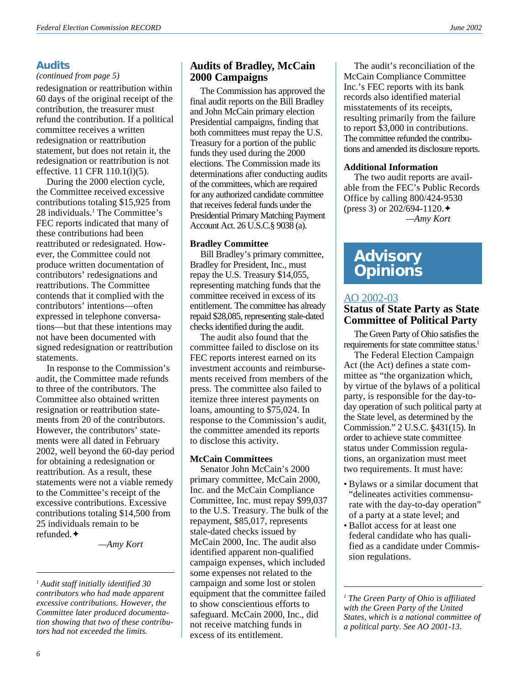# **Audits**

#### *(continued from page 5)*

redesignation or reattribution within 60 days of the original receipt of the contribution, the treasurer must refund the contribution. If a political committee receives a written redesignation or reattribution statement, but does not retain it, the redesignation or reattribution is not effective. 11 CFR 110.1(l)(5).

During the 2000 election cycle, the Committee received excessive contributions totaling \$15,925 from 28 individuals.<sup>1</sup> The Committee's FEC reports indicated that many of these contributions had been reattributed or redesignated. However, the Committee could not produce written documentation of contributors' redesignations and reattributions. The Committee contends that it complied with the contributors' intentions—often expressed in telephone conversations—but that these intentions may not have been documented with signed redesignation or reattribution statements.

In response to the Commission's audit, the Committee made refunds to three of the contributors. The Committee also obtained written resignation or reattribution statements from 20 of the contributors. However, the contributors' statements were all dated in February 2002, well beyond the 60-day period for obtaining a redesignation or reattribution. As a result, these statements were not a viable remedy to the Committee's receipt of the excessive contributions. Excessive contributions totaling \$14,500 from 25 individuals remain to be refunded.✦

*—Amy Kort*

### **Audits of Bradley, McCain 2000 Campaigns**

The Commission has approved the final audit reports on the Bill Bradley and John McCain primary election Presidential campaigns, finding that both committees must repay the U.S. Treasury for a portion of the public funds they used during the 2000 elections. The Commission made its determinations after conducting audits of the committees, which are required for any authorized candidate committee that receives federal funds under the Presidential Primary Matching Payment Account Act. 26 U.S.C.§ 9038 (a).

#### **Bradley Committee**

Bill Bradley's primary committee, Bradley for President, Inc., must repay the U.S. Treasury \$14,055, representing matching funds that the committee received in excess of its entitlement. The committee has already repaid \$28,085, representing stale-dated checks identified during the audit.

The audit also found that the committee failed to disclose on its FEC reports interest earned on its investment accounts and reimbursements received from members of the press. The committee also failed to itemize three interest payments on loans, amounting to \$75,024. In response to the Commission's audit, the committee amended its reports to disclose this activity.

#### **McCain Committees**

Senator John McCain's 2000 primary committee, McCain 2000, Inc. and the McCain Compliance Committee, Inc. must repay \$99,037 to the U.S. Treasury. The bulk of the repayment, \$85,017, represents stale-dated checks issued by McCain 2000, Inc. The audit also identified apparent non-qualified campaign expenses, which included some expenses not related to the campaign and some lost or stolen equipment that the committee failed to show conscientious efforts to safeguard. McCain 2000, Inc., did not receive matching funds in excess of its entitlement.

The audit's reconciliation of the McCain Compliance Committee Inc.'s FEC reports with its bank records also identified material misstatements of its receipts, resulting primarily from the failure to report \$3,000 in contributions. The committee refunded the contributions and amended its disclosure reports.

#### **Additional Information**

The two audit reports are available from the FEC's Public Records Office by calling 800/424-9530 (press 3) or 202/694-1120.✦ *—Amy Kort*

# **Advisory Opinions**

# [AO 2002-03](http://saos.fec.gov/aodocs/2002-03.pdf)

# **Status of State Party as State Committee of Political Party**

The Green Party of Ohio satisfies the requirements for state committee status.<sup>1</sup>

The Federal Election Campaign Act (the Act) defines a state committee as "the organization which, by virtue of the bylaws of a political party, is responsible for the day-today operation of such political party at the State level, as determined by the Commission." 2 U.S.C. §431(15). In order to achieve state committee status under Commission regulations, an organization must meet two requirements. It must have:

- Bylaws or a similar document that "delineates activities commensurate with the day-to-day operation" of a party at a state level; and
- Ballot access for at least one federal candidate who has qualified as a candidate under Commission regulations.

*1 The Green Party of Ohio is affiliated with the Green Party of the United States, which is a national committee of a political party. See AO 2001-13.*

*<sup>1</sup> Audit staff initially identified 30 contributors who had made apparent excessive contributions. However, the Committee later produced documentation showing that two of these contributors had not exceeded the limits.*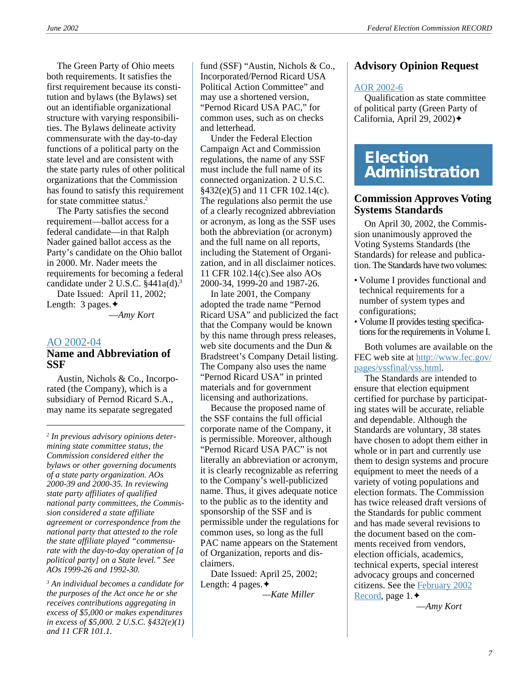The Green Party of Ohio meets both requirements. It satisfies the first requirement because its constitution and bylaws (the Bylaws) set out an identifiable organizational structure with varying responsibilities. The Bylaws delineate activity commensurate with the day-to-day functions of a political party on the state level and are consistent with the state party rules of other political organizations that the Commission has found to satisfy this requirement for state committee status.2

The Party satisfies the second requirement—ballot access for a federal candidate—in that Ralph Nader gained ballot access as the Party's candidate on the Ohio ballot in 2000. Mr. Nader meets the requirements for becoming a federal candidate under 2 U.S.C. §441a(d).3

Date Issued: April 11, 2002; Length: 3 pages.✦

—*Amy Kort*

#### [AO 2002-04](http://saos.fec.gov/aodocs/2002-04.pdf)

### **Name and Abbreviation of SSF**

Austin, Nichols & Co., Incorporated (the Company), which is a subsidiary of Pernod Ricard S.A., may name its separate segregated

*2 In previous advisory opinions determining state committee status, the Commission considered either the bylaws or other governing documents of a state party organization. AOs 2000-39 and 2000-35. In reviewing state party affiliates of qualified national party committees, the Commission considered a state affiliate agreement or correspondence from the national party that attested to the role the state affiliate played "commensurate with the day-to-day operation of [a political party] on a State level." See AOs 1999-26 and 1992-30.*

*3 An individual becomes a candidate for the purposes of the Act once he or she receives contributions aggregating in excess of \$5,000 or makes expenditures in excess of \$5,000. 2 U.S.C. §432(e)(1) and 11 CFR 101.1.*

fund (SSF) "Austin, Nichols & Co., Incorporated/Pernod Ricard USA Political Action Committee" and may use a shortened version, "Pernod Ricard USA PAC," for common uses, such as on checks and letterhead.

Under the Federal Election Campaign Act and Commission regulations, the name of any SSF must include the full name of its connected organization. 2 U.S.C. §432(e)(5) and 11 CFR 102.14(c). The regulations also permit the use of a clearly recognized abbreviation or acronym, as long as the SSF uses both the abbreviation (or acronym) and the full name on all reports, including the Statement of Organization, and in all disclaimer notices. 11 CFR 102.14(c).See also AOs 2000-34, 1999-20 and 1987-26.

In late 2001, the Company adopted the trade name "Pernod Ricard USA" and publicized the fact that the Company would be known by this name through press releases, web site documents and the Dun & Bradstreet's Company Detail listing. The Company also uses the name "Pernod Ricard USA" in printed materials and for government licensing and authorizations.

Because the proposed name of the SSF contains the full official corporate name of the Company, it is permissible. Moreover, although "Pernod Ricard USA PAC" is not literally an abbreviation or acronym, it is clearly recognizable as referring to the Company's well-publicized name. Thus, it gives adequate notice to the public as to the identity and sponsorship of the SSF and is permissible under the regulations for common uses, so long as the full PAC name appears on the Statement of Organization, reports and disclaimers.

Date Issued: April 25, 2002; Length: 4 pages.✦

*—Kate Miller*

# **Advisory Opinion Request**

#### [AOR 2002-6](http://saos.fec.gov/saos/searchao)

Qualification as state committee of political party (Green Party of California, April 29, 2002)✦

# **Election Administration**

### **Commission Approves Voting Systems Standards**

On April 30, 2002, the Commission unanimously approved the Voting Systems Standards (the Standards) for release and publication. The Standards have two volumes:

- Volume I provides functional and technical requirements for a number of system types and configurations;
- Volume II provides testing specifications for the requirements in Volume I.

Both volumes are available on the FEC web site at [http://www.fec.gov/](http://www.fec.gov/pages/vssfinal/vss.html) [pages/vssfinal/vss.html](http://www.fec.gov/pages/vssfinal/vss.html).

The Standards are intended to ensure that election equipment certified for purchase by participating states will be accurate, reliable and dependable. Although the Standards are voluntary, 38 states have chosen to adopt them either in whole or in part and currently use them to design systems and procure equipment to meet the needs of a variety of voting populations and election formats. The Commission has twice released draft versions of the Standards for public comment and has made several revisions to the document based on the comments received from vendors, election officials, academics, technical experts, special interest advocacy groups and concerned citizens. See the [February 2002](http://www.fec.gov/pdf/feb02.pdf) [Record](http://www.fec.gov/pdf/feb02.pdf), page 1.✦

—*Amy Kort*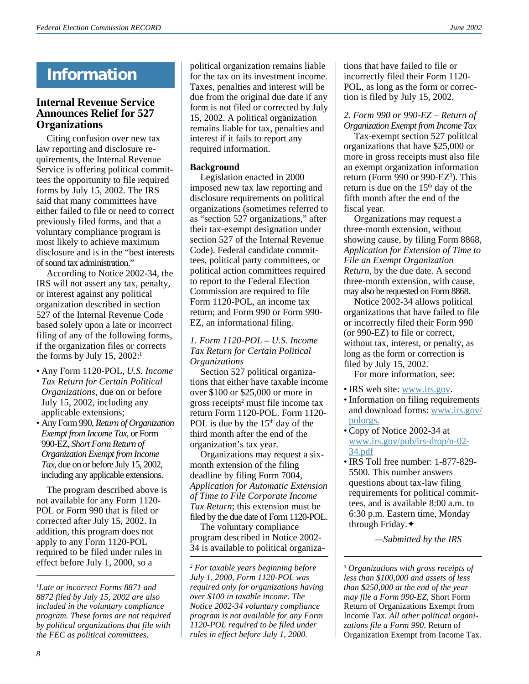# **Information**

# **Internal Revenue Service Announces Relief for 527 Organizations**

Citing confusion over new tax law reporting and disclosure requirements, the Internal Revenue Service is offering political committees the opportunity to file required forms by July 15, 2002. The IRS said that many committees have either failed to file or need to correct previously filed forms, and that a voluntary compliance program is most likely to achieve maximum disclosure and is in the "best interests of sound tax administration."

According to Notice 2002-34, the IRS will not assert any tax, penalty, or interest against any political organization described in section 527 of the Internal Revenue Code based solely upon a late or incorrect filing of any of the following forms, if the organization files or corrects the forms by July 15, 2002:<sup>1</sup>

- Any Form 1120-POL, *U.S. Income Tax Return for Certain Political Organizations*, due on or before July 15, 2002, including any applicable extensions;
- Any Form 990, *Return of Organization Exempt from Income Tax*, or Form 990-EZ, *Short Form Return of Organization Exempt from Income Tax*, due on or before July 15, 2002, including any applicable extensions.

The program described above is not available for any Form 1120- POL or Form 990 that is filed or corrected after July 15, 2002. In addition, this program does not apply to any Form 1120-POL required to be filed under rules in effect before July 1, 2000, so a

*1 Late or incorrect Forms 8871 and 8872 filed by July 15, 2002 are also included in the voluntary compliance program. These forms are not required by political organizations that file with the FEC as political committees.*

political organization remains liable for the tax on its investment income. Taxes, penalties and interest will be due from the original due date if any form is not filed or corrected by July 15, 2002. A political organization remains liable for tax, penalties and interest if it fails to report any required information.

### **Background**

Legislation enacted in 2000 imposed new tax law reporting and disclosure requirements on political organizations (sometimes referred to as "section 527 organizations," after their tax-exempt designation under section 527 of the Internal Revenue Code). Federal candidate committees, political party committees, or political action committees required to report to the Federal Election Commission are required to file Form 1120-POL, an income tax return; and Form 990 or Form 990- EZ, an informational filing.

#### *1. Form 1120-POL – U.S. Income Tax Return for Certain Political Organizations*

Section 527 political organizations that either have taxable income over \$100 or \$25,000 or more in gross receipts<sup>2</sup> must file income tax return Form 1120-POL. Form 1120- POL is due by the  $15<sup>th</sup>$  day of the third month after the end of the organization's tax year.

Organizations may request a sixmonth extension of the filing deadline by filing Form 7004, *Application for Automatic Extension of Time to File Corporate Income Tax Return*; this extension must be filed by the due date of Form 1120-POL.

The voluntary compliance program described in Notice 2002- 34 is available to political organizations that have failed to file or incorrectly filed their Form 1120- POL, as long as the form or correction is filed by July 15, 2002.

### *2. Form 990 or 990-EZ – Return of Organization Exempt from Income Tax*

Tax-exempt section 527 political organizations that have \$25,000 or more in gross receipts must also file an exempt organization information return (Form 990 or 990-EZ<sup>3</sup>). This return is due on the  $15<sup>th</sup>$  day of the fifth month after the end of the fiscal year.

Organizations may request a three-month extension, without showing cause, by filing Form 8868, *Application for Extension of Time to File an Exempt Organization Return*, by the due date. A second three-month extension, with cause, may also be requested on Form 8868.

Notice 2002-34 allows political organizations that have failed to file or incorrectly filed their Form 990 (or 990-EZ) to file or correct, without tax, interest, or penalty, as long as the form or correction is filed by July 15, 2002.

For more information, see:

- IRS web site: [www.irs.gov](http://www.irs.gov).
- Information on filing requirements and download forms: [www.irs.gov/](http://www.irs.gov/polorgs.) [polorgs.](http://www.irs.gov/polorgs.)
- Copy of Notice 2002-34 at [www.irs.gov/pub/irs-drop/n-02-](http://www.irs.gov/pub/irs-drop/n-02-34.pdf) [34.pdf](http://www.irs.gov/pub/irs-drop/n-02-34.pdf)
- IRS Toll free number: 1-877-829- 5500. This number answers questions about tax-law filing requirements for political committees, and is available 8:00 a.m. to 6:30 p.m. Eastern time, Monday through Friday.✦

*—Submitted by the IRS*

*3 Organizations with gross receipts of less than \$100,000 and assets of less than \$250,000 at the end of the year may file a Form 990-EZ,* Short Form Return of Organizations Exempt from Income Tax*. All other political organizations file a Form 990,* Return of Organization Exempt from Income Tax*.*

*<sup>2</sup> For taxable years beginning before July 1, 2000, Form 1120-POL was required only for organizations having over \$100 in taxable income. The Notice 2002-34 voluntary compliance program is not available for any Form 1120-POL required to be filed under rules in effect before July 1, 2000.*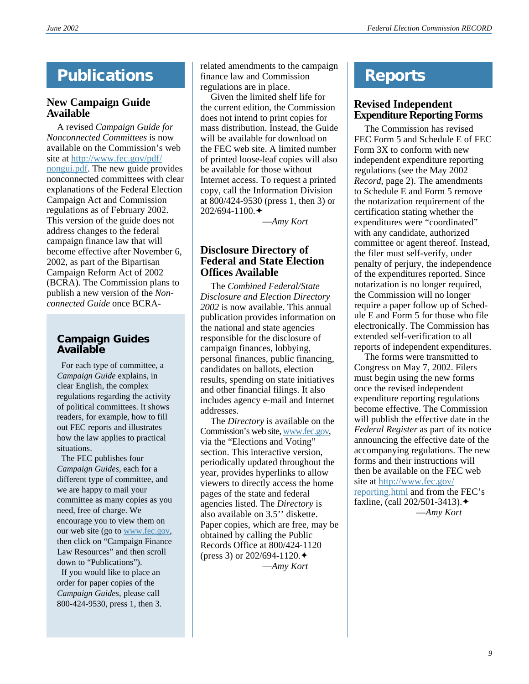# **Publications**

# **New Campaign Guide Available**

A revised *Campaign Guide for Nonconnected Committees* is now available on the Commission's web site at [http://www.fec.gov/pdf/](http://www.fec.gov/pdf/nongui.pdf) [nongui.pdf](http://www.fec.gov/pdf/nongui.pdf). The new guide provides nonconnected committees with clear explanations of the Federal Election Campaign Act and Commission regulations as of February 2002. This version of the guide does not address changes to the federal campaign finance law that will become effective after November 6, 2002, as part of the Bipartisan Campaign Reform Act of 2002 (BCRA). The Commission plans to publish a new version of the *Nonconnected Guide* once BCRA-

# **Campaign Guides Available**

 For each type of committee, a *Campaign Guide* explains, in clear English, the complex regulations regarding the activity of political committees. It shows readers, for example, how to fill out FEC reports and illustrates how the law applies to practical situations.

 The FEC publishes four *Campaign Guides,* each for a different type of committee, and we are happy to mail your committee as many copies as you need, free of charge. We encourage you to view them on our web site (go to [www.fec.gov,](http://www.fec.gov) then click on "Campaign Finance Law Resources" and then scroll down to "Publications").

 If you would like to place an order for paper copies of the *Campaign Guides*, please call 800-424-9530, press 1, then 3.

related amendments to the campaign finance law and Commission regulations are in place.

Given the limited shelf life for the current edition, the Commission does not intend to print copies for mass distribution. Instead, the Guide will be available for download on the FEC web site. A limited number of printed loose-leaf copies will also be available for those without Internet access. To request a printed copy, call the Information Division at 800/424-9530 (press 1, then 3) or 202/694-1100.✦

—*Amy Kort*

# **Disclosure Directory of Federal and State Election Offices Available**

The *Combined Federal/State Disclosure and Election Directory 2002* is now available. This annual publication provides information on the national and state agencies responsible for the disclosure of campaign finances, lobbying, personal finances, public financing, candidates on ballots, election results, spending on state initiatives and other financial filings. It also includes agency e-mail and Internet addresses.

The *Directory* is available on the Commission's web site, [www.fec.gov,](http://www.fec.gov) via the "Elections and Voting" section. This interactive version, periodically updated throughout the year, provides hyperlinks to allow viewers to directly access the home pages of the state and federal agencies listed. The *Directory* is also available on 3.5'' diskette. Paper copies, which are free, may be obtained by calling the Public Records Office at 800/424-1120 (press 3) or 202/694-1120. ♦ —*Amy Kort*

# **Reports**

# **Revised Independent Expenditure Reporting Forms**

The Commission has revised FEC Form 5 and Schedule E of FEC Form 3X to conform with new independent expenditure reporting regulations (see the May 2002 *Record*, page 2). The amendments to Schedule E and Form 5 remove the notarization requirement of the certification stating whether the expenditures were "coordinated" with any candidate, authorized committee or agent thereof. Instead, the filer must self-verify, under penalty of perjury, the independence of the expenditures reported. Since notarization is no longer required, the Commission will no longer require a paper follow up of Schedule E and Form 5 for those who file electronically. The Commission has extended self-verification to all reports of independent expenditures.

The forms were transmitted to Congress on May 7, 2002. Filers must begin using the new forms once the revised independent expenditure reporting regulations become effective. The Commission will publish the effective date in the *Federal Register* as part of its notice announcing the effective date of the accompanying regulations. The new forms and their instructions will then be available on the FEC web site at [http://www.fec.gov/](http://www.fec.gov/reporting.html) [reporting.html](http://www.fec.gov/reporting.html) and from the FEC's faxline, (call 202/501-3413).✦ —*Amy Kort*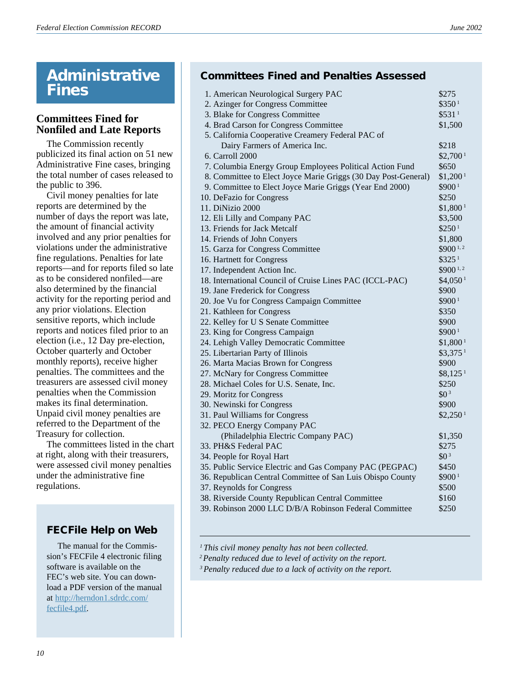# **Administrative Fines**

# **Committees Fined for Nonfiled and Late Reports**

The Commission recently publicized its final action on 51 new Administrative Fine cases, bringing the total number of cases released to the public to 396.

Civil money penalties for late reports are determined by the number of days the report was late, the amount of financial activity involved and any prior penalties for violations under the administrative fine regulations. Penalties for late reports—and for reports filed so late as to be considered nonfiled—are also determined by the financial activity for the reporting period and any prior violations. Election sensitive reports, which include reports and notices filed prior to an election (i.e., 12 Day pre-election, October quarterly and October monthly reports), receive higher penalties. The committees and the treasurers are assessed civil money penalties when the Commission makes its final determination. Unpaid civil money penalties are referred to the Department of the Treasury for collection.

The committees listed in the chart at right, along with their treasurers, were assessed civil money penalties under the administrative fine regulations.

# **FECFile Help on Web**

 The manual for the Commission's FECFile 4 electronic filing software is available on the FEC's web site. You can download a PDF version of the manual at [http://herndon1.sdrdc.com/](http://herndon1.sdrdc.com/fecfile4.pdf) [fecfile4.pdf](http://herndon1.sdrdc.com/fecfile4.pdf).

# **Committees Fined and Penalties Assessed**

| 1. American Neurological Surgery PAC                           | \$275                 |
|----------------------------------------------------------------|-----------------------|
| 2. Azinger for Congress Committee                              | \$3501                |
| 3. Blake for Congress Committee                                | \$531 <sup>1</sup>    |
| 4. Brad Carson for Congress Committee                          | \$1,500               |
| 5. California Cooperative Creamery Federal PAC of              |                       |
| Dairy Farmers of America Inc.                                  | \$218                 |
| 6. Carroll 2000                                                | \$2,700 <sup>1</sup>  |
| 7. Columbia Energy Group Employees Political Action Fund       | \$650                 |
| 8. Committee to Elect Joyce Marie Griggs (30 Day Post-General) | \$1,200 <sup>1</sup>  |
| 9. Committee to Elect Joyce Marie Griggs (Year End 2000)       | \$900 <sup>1</sup>    |
| 10. DeFazio for Congress                                       | \$250                 |
| 11. DiNizio 2000                                               | \$1,800 <sup>1</sup>  |
| 12. Eli Lilly and Company PAC                                  | \$3,500               |
| 13. Friends for Jack Metcalf                                   | \$250 <sup>1</sup>    |
| 14. Friends of John Conyers                                    | \$1,800               |
| 15. Garza for Congress Committee                               | \$900 <sup>1,2</sup>  |
| 16. Hartnett for Congress                                      | \$325 <sup>1</sup>    |
| 17. Independent Action Inc.                                    | \$900 <sup>1,2</sup>  |
| 18. International Council of Cruise Lines PAC (ICCL-PAC)       | \$4,050 <sup>1</sup>  |
| 19. Jane Frederick for Congress                                | \$900                 |
| 20. Joe Vu for Congress Campaign Committee                     | \$900 <sup>1</sup>    |
| 21. Kathleen for Congress                                      | \$350                 |
| 22. Kelley for U S Senate Committee                            | \$900                 |
| 23. King for Congress Campaign                                 | \$900 <sup>1</sup>    |
| 24. Lehigh Valley Democratic Committee                         | \$1,800 <sup>1</sup>  |
| 25. Libertarian Party of Illinois                              | $$3,375$ <sup>1</sup> |
| 26. Marta Macias Brown for Congress                            | \$900                 |
| 27. McNary for Congress Committee                              | $$8,125$ <sup>1</sup> |
| 28. Michael Coles for U.S. Senate, Inc.                        | \$250                 |
| 29. Moritz for Congress                                        | $$0^3$                |
| 30. Newinski for Congress                                      | \$900                 |
| 31. Paul Williams for Congress                                 | \$2,250 <sup>1</sup>  |
| 32. PECO Energy Company PAC                                    |                       |
| (Philadelphia Electric Company PAC)                            | \$1,350               |
| 33. PH&S Federal PAC                                           | \$275                 |
| 34. People for Royal Hart                                      | $$0^3$                |
| 35. Public Service Electric and Gas Company PAC (PEGPAC)       | \$450                 |
| 36. Republican Central Committee of San Luis Obispo County     | \$9001                |
| 37. Reynolds for Congress                                      | \$500                 |
| 38. Riverside County Republican Central Committee              | \$160                 |
| 39. Robinson 2000 LLC D/B/A Robinson Federal Committee         | \$250                 |

*<sup>1</sup> This civil money penalty has not been collected.*

*<sup>2</sup>Penalty reduced due to level of activity on the report.*

*<sup>3</sup>Penalty reduced due to a lack of activity on the report.*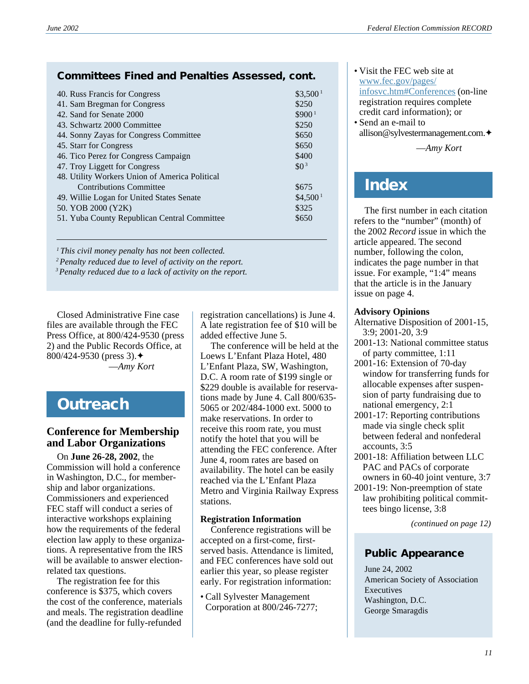# **Committees Fined and Penalties Assessed, cont.**

| 40. Russ Francis for Congress                  | \$3,500 <sup>1</sup> |  |  |
|------------------------------------------------|----------------------|--|--|
| 41. Sam Bregman for Congress                   | \$250                |  |  |
| 42. Sand for Senate 2000                       | \$900 <sup>1</sup>   |  |  |
| 43. Schwartz 2000 Committee                    | \$250                |  |  |
| 44. Sonny Zayas for Congress Committee         | \$650                |  |  |
| 45. Starr for Congress                         | \$650                |  |  |
| 46. Tico Perez for Congress Campaign           | \$400                |  |  |
| 47. Troy Liggett for Congress                  | $$0^3$               |  |  |
| 48. Utility Workers Union of America Political |                      |  |  |
| <b>Contributions Committee</b>                 | \$675                |  |  |
| 49. Willie Logan for United States Senate      | \$4.500 <sup>1</sup> |  |  |
| 50. YOB 2000 (Y2K)                             | \$325                |  |  |
| 51. Yuba County Republican Central Committee   | \$650                |  |  |
|                                                |                      |  |  |

*<sup>1</sup> This civil money penalty has not been collected.*

*2Penalty reduced due to level of activity on the report.*

*3Penalty reduced due to a lack of activity on the report.*

Closed Administrative Fine case files are available through the FEC Press Office, at 800/424-9530 (press 2) and the Public Records Office, at 800/424-9530 (press 3).✦ —*Amy Kort*

# **Outreach**

# **Conference for Membership and Labor Organizations**

On **June 26-28, 2002**, the Commission will hold a conference in Washington, D.C., for membership and labor organizations. Commissioners and experienced FEC staff will conduct a series of interactive workshops explaining how the requirements of the federal election law apply to these organizations. A representative from the IRS will be available to answer electionrelated tax questions.

The registration fee for this conference is \$375, which covers the cost of the conference, materials and meals. The registration deadline (and the deadline for fully-refunded

registration cancellations) is June 4. A late registration fee of \$10 will be added effective June 5.

The conference will be held at the Loews L'Enfant Plaza Hotel, 480 L'Enfant Plaza, SW, Washington, D.C. A room rate of \$199 single or \$229 double is available for reservations made by June 4. Call 800/635- 5065 or 202/484-1000 ext. 5000 to make reservations. In order to receive this room rate, you must notify the hotel that you will be attending the FEC conference. After June 4, room rates are based on availability. The hotel can be easily reached via the L'Enfant Plaza Metro and Virginia Railway Express stations.

### **Registration Information**

Conference registrations will be accepted on a first-come, firstserved basis. Attendance is limited, and FEC conferences have sold out earlier this year, so please register early. For registration information:

• Call Sylvester Management Corporation at 800/246-7277;

- Visit the FEC web site at [www.fec.gov/pages/](http://www.fec.gov/pages/infosvc.htm#Conferences) [infosvc.htm#Conferences](http://www.fec.gov/pages/infosvc.htm#Conferences) (on-line registration requires complete credit card information); or • Send an e-mail to
- allison@sylvestermanagement.com.✦

—*Amy Kort*

# **Index**

The first number in each citation refers to the "number" (month) of the 2002 *Record* issue in which the article appeared. The second number, following the colon, indicates the page number in that issue. For example, "1:4" means that the article is in the January issue on page 4.

### **Advisory Opinions**

- Alternative Disposition of 2001-15, 3:9; 2001-20, 3:9
- 2001-13: National committee status of party committee, 1:11
- 2001-16: Extension of 70-day window for transferring funds for allocable expenses after suspension of party fundraising due to national emergency, 2:1
- 2001-17: Reporting contributions made via single check split between federal and nonfederal accounts, 3:5
- 2001-18: Affiliation between LLC PAC and PACs of corporate owners in 60-40 joint venture, 3:7
- 2001-19: Non-preemption of state law prohibiting political committees bingo license, 3:8

*(continued on page 12)*

# **Public Appearance**

June 24, 2002 American Society of Association Executives Washington, D.C. George Smaragdis